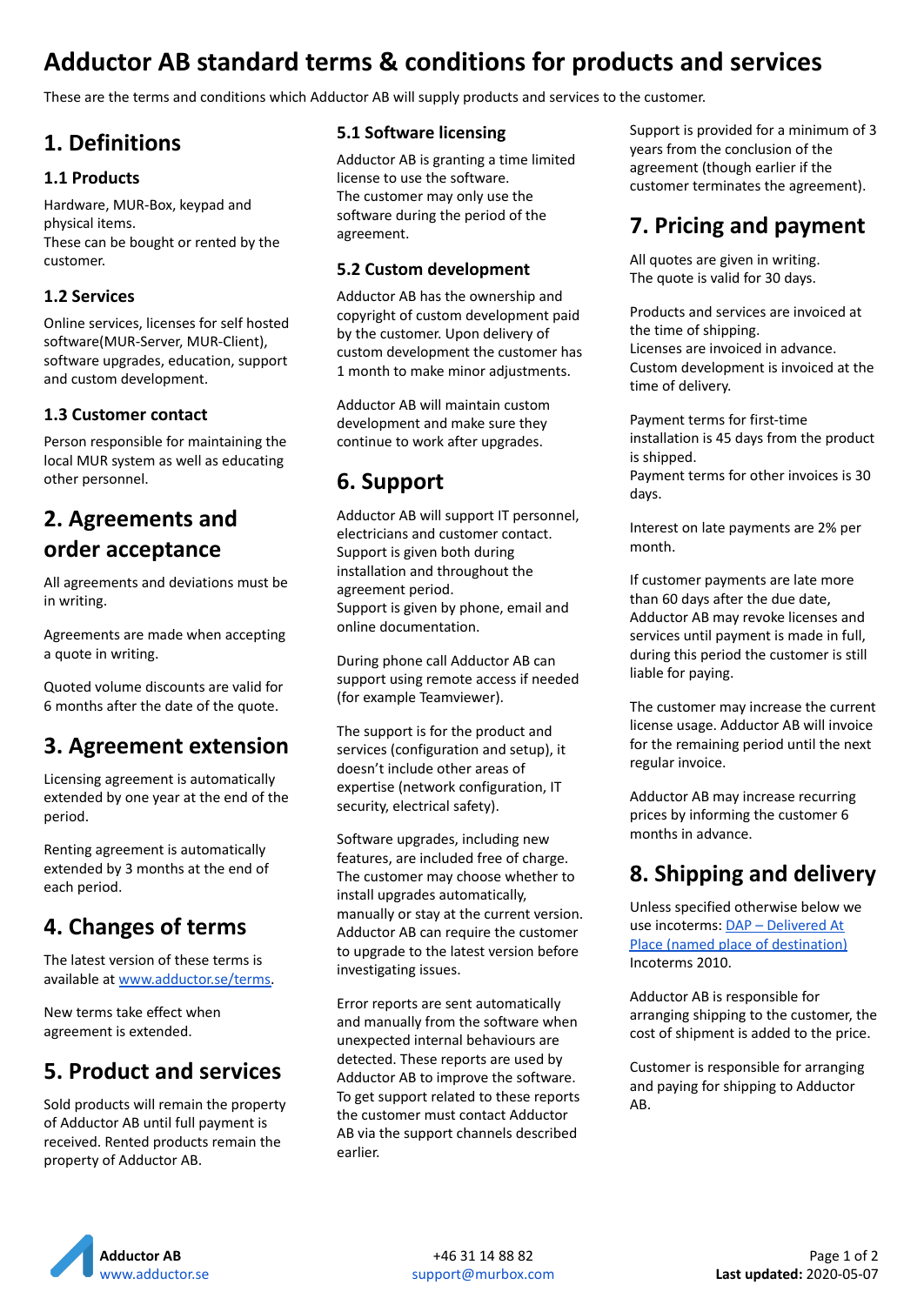# **Adductor AB standard terms & conditions for products and services**

These are the terms and conditions which Adductor AB will supply products and services to the customer.

### **1. Definitions**

#### **1.1 Products**

Hardware, MUR-Box, keypad and physical items. These can be bought or rented by the customer.

#### **1.2 Services**

Online services, licenses for self hosted software(MUR-Server, MUR-Client), software upgrades, education, support and custom development.

#### **1.3 Customer contact**

Person responsible for maintaining the local MUR system as well as educating other personnel.

## **2. Agreements and order acceptance**

All agreements and deviations must be in writing.

Agreements are made when accepting a quote in writing.

Quoted volume discounts are valid for 6 months after the date of the quote.

# **3. Agreement extension**

Licensing agreement is automatically extended by one year at the end of the period.

Renting agreement is automatically extended by 3 months at the end of each period.

### **4. Changes of terms**

The latest version of these terms is available at [www.adductor.se/terms.](https://www.adductor.se/terms)

New terms take effect when agreement is extended.

### **5. Product and services**

Sold products will remain the property of Adductor AB until full payment is received. Rented products remain the property of Adductor AB.

#### **5.1 Software licensing**

Adductor AB is granting a time limited license to use the software. The customer may only use the software during the period of the agreement.

#### **5.2 Custom development**

Adductor AB has the ownership and copyright of custom development paid by the customer. Upon delivery of custom development the customer has 1 month to make minor adjustments.

Adductor AB will maintain custom development and make sure they continue to work after upgrades.

# **6. Support**

Adductor AB will support IT personnel, electricians and customer contact. Support is given both during installation and throughout the agreement period. Support is given by phone, email and online documentation.

During phone call Adductor AB can support using remote access if needed (for example Teamviewer).

The support is for the product and services (configuration and setup), it doesn't include other areas of expertise (network configuration, IT security, electrical safety).

Software upgrades, including new features, are included free of charge. The customer may choose whether to install upgrades automatically, manually or stay at the current version. Adductor AB can require the customer to upgrade to the latest version before investigating issues.

Error reports are sent automatically and manually from the software when unexpected internal behaviours are detected. These reports are used by Adductor AB to improve the software. To get support related to these reports the customer must contact Adductor AB via the support channels described earlier.

Support is provided for a minimum of 3 years from the conclusion of the agreement (though earlier if the customer terminates the agreement).

## **7. Pricing and payment**

All quotes are given in writing. The quote is valid for 30 days.

Products and services are invoiced at the time of shipping. Licenses are invoiced in advance. Custom development is invoiced at the time of delivery.

Payment terms for first-time installation is 45 days from the product is shipped. Payment terms for other invoices is 30

days.

Interest on late payments are 2% per month.

If customer payments are late more than 60 days after the due date, Adductor AB may revoke licenses and services until payment is made in full, during this period the customer is still liable for paying.

The customer may increase the current license usage. Adductor AB will invoice for the remaining period until the next regular invoice.

Adductor AB may increase recurring prices by informing the customer 6 months in advance.

# **8. Shipping and delivery**

Unless specified otherwise below we use incoterms: DAP – [Delivered](https://en.wikipedia.org/wiki/Incoterms#DAP_%E2%80%93_Delivered_At_Place_(named_place_of_destination)) At Place (named place of [destination\)](https://en.wikipedia.org/wiki/Incoterms#DAP_%E2%80%93_Delivered_At_Place_(named_place_of_destination)) Incoterms 2010.

Adductor AB is responsible for arranging shipping to the customer, the cost of shipment is added to the price.

Customer is responsible for arranging and paying for shipping to Adductor AB.